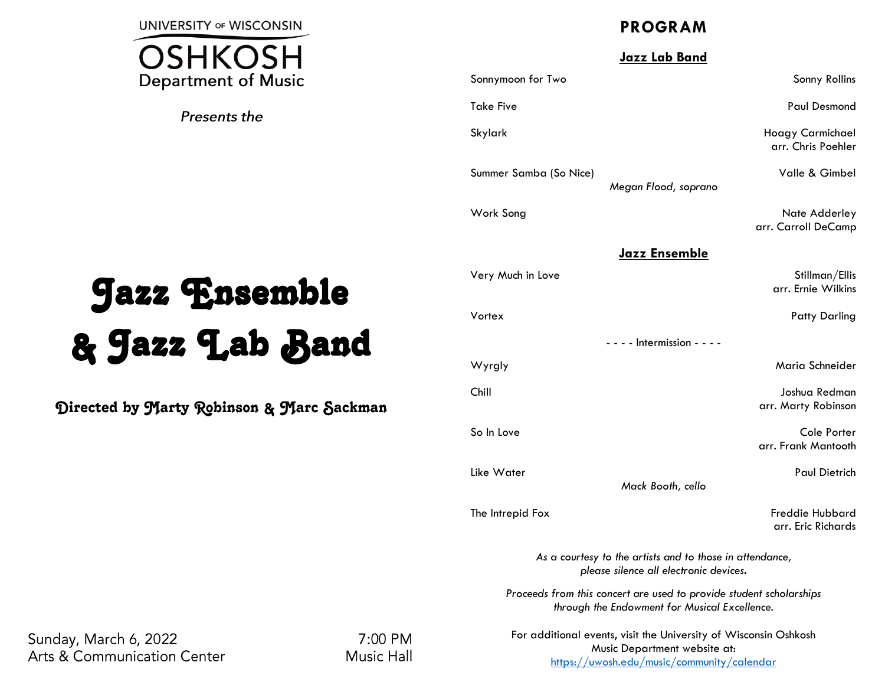**UNIVERSITY OF WISCONSIN** 



Presents the

# Jazz Ensemble & Jazz Lab Band

Directed by Marty Robinson & Marc Sackman

# **PROGRAM**

## **Jazz Lab Band**

Sonnymoon for Two Sonny Rollins and Sonny Rollins Sonny Rollins Sonny Rollins Sonny Rollins Sonny Rollins Sonny Rollins Sonny Rollins Sonny Rollins Sonny Rollins Sonny Rollins Sonny Rollins Sonny Rollins Sonny Rollins Sonn Take Five Paul Desmond

Skylark Hoagy Carmichael arr. Chris Poehler

Summer Samba (So Nice) Summer Samba (So Nice)

Work Song Nate Adderley arr. Carroll DeCamp

## **Jazz Ensemble**

*Megan Flood, soprano*

| Very Much in Love            | Stillman/Ellis<br>arr. Ernie Wilkins |
|------------------------------|--------------------------------------|
| Vortex                       | <b>Patty Darling</b>                 |
| $- - -$ Intermission - - - - |                                      |
| Wyrgly                       | Maria Schneider                      |
| Chill                        | Joshua Redman.                       |

arr. Marty Robinson

So In Love Cole Porter arr. Frank Mantooth

Like Water Paul Dietrich

*Mack Booth, cello*

The Intrepid Fox **Freddie Hubbard** arr. Eric Richards

> *As a courtesy to the artists and to those in attendance, please silence all electronic devices.*

*Proceeds from this concert are used to provide student scholarships through the Endowment for Musical Excellence.*

Sunday, March 6, 2022 **Arts & Communication Center** 

7:00 PM **Music Hall**  For additional events, visit the University of Wisconsin Oshkosh Music Department website at: <https://uwosh.edu/music/community/calendar>